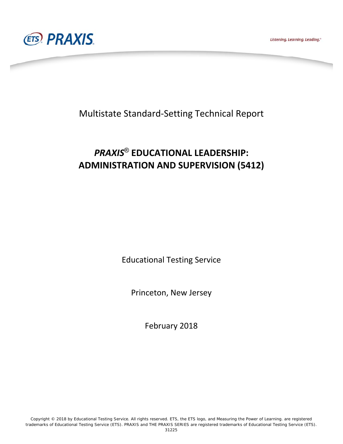Listening. Learning. Leading.<sup>®</sup>



Multistate Standard‐Setting Technical Report

## *PRAXIS*® **EDUCATIONAL LEADERSHIP: ADMINISTRATION AND SUPERVISION (5412)**

Educational Testing Service

Princeton, New Jersey

February 2018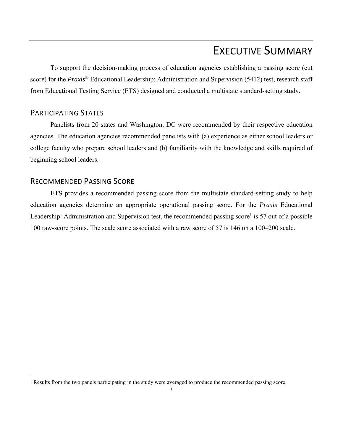## EXECUTIVE SUMMARY

To support the decision-making process of education agencies establishing a passing score (cut score) for the *Praxis*® Educational Leadership: Administration and Supervision (5412) test, research staff from Educational Testing Service (ETS) designed and conducted a multistate standard-setting study.

### PARTICIPATING STATES

Panelists from 20 states and Washington, DC were recommended by their respective education agencies. The education agencies recommended panelists with (a) experience as either school leaders or college faculty who prepare school leaders and (b) familiarity with the knowledge and skills required of beginning school leaders.

### RECOMMENDED PASSING SCORE

ETS provides a recommended passing score from the multistate standard-setting study to help education agencies determine an appropriate operational passing score. For the *Praxis* Educational Leadership: Administration and Supervision test, the recommended passing score<sup>1</sup> is 57 out of a possible 100 raw-score points. The scale score associated with a raw score of 57 is 146 on a 100–200 scale.

<sup>&</sup>lt;sup>1</sup> Results from the two panels participating in the study were averaged to produce the recommended passing score.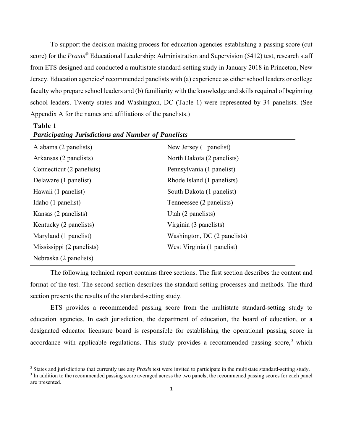To support the decision-making process for education agencies establishing a passing score (cut score) for the *Praxis*® Educational Leadership: Administration and Supervision (5412) test, research staff from ETS designed and conducted a multistate standard-setting study in January 2018 in Princeton, New Jersey. Education agencies<sup>2</sup> recommended panelists with (a) experience as either school leaders or college faculty who prepare school leaders and (b) familiarity with the knowledge and skills required of beginning school leaders. Twenty states and Washington, DC (Table 1) were represented by 34 panelists. (See Appendix A for the names and affiliations of the panelists.)

#### **Table 1**

| Alabama (2 panelists)     | New Jersey (1 panelist)      |
|---------------------------|------------------------------|
| Arkansas (2 panelists)    | North Dakota (2 panelists)   |
| Connecticut (2 panelists) | Pennsylvania (1 panelist)    |
| Delaware (1 panelist)     | Rhode Island (1 panelists)   |
| Hawaii (1 panelist)       | South Dakota (1 panelist)    |
| Idaho (1 panelist)        | Tenneessee (2 panelists)     |
| Kansas (2 panelists)      | Utah (2 panelists)           |
| Kentucky (2 panelists)    | Virginia (3 panelists)       |
| Maryland (1 panelist)     | Washington, DC (2 panelists) |
| Mississippi (2 panelists) | West Virginia (1 panelist)   |
| Nebraska (2 panelists)    |                              |

#### *Participating Jurisdictions and Number of Panelists*

The following technical report contains three sections. The first section describes the content and format of the test. The second section describes the standard-setting processes and methods. The third section presents the results of the standard-setting study.

ETS provides a recommended passing score from the multistate standard-setting study to education agencies. In each jurisdiction, the department of education, the board of education, or a designated educator licensure board is responsible for establishing the operational passing score in accordance with applicable regulations. This study provides a recommended passing score,  $3$  which

<sup>2</sup> States and jurisdictions that currently use any *Praxis* test were invited to participate in the multistate standard-setting study.

<sup>&</sup>lt;sup>3</sup> In addition to the recommended passing score <u>averaged</u> across the two panels, the recommened passing scores for each panel are presented.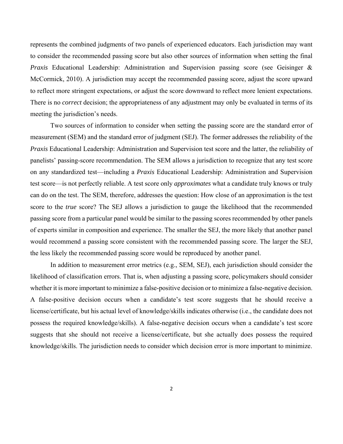represents the combined judgments of two panels of experienced educators. Each jurisdiction may want to consider the recommended passing score but also other sources of information when setting the final *Praxis* Educational Leadership: Administration and Supervision passing score (see Geisinger & McCormick, 2010). A jurisdiction may accept the recommended passing score, adjust the score upward to reflect more stringent expectations, or adjust the score downward to reflect more lenient expectations. There is no *correct* decision; the appropriateness of any adjustment may only be evaluated in terms of its meeting the jurisdiction's needs.

Two sources of information to consider when setting the passing score are the standard error of measurement (SEM) and the standard error of judgment (SEJ). The former addresses the reliability of the *Praxis* Educational Leadership: Administration and Supervision test score and the latter, the reliability of panelists' passing-score recommendation. The SEM allows a jurisdiction to recognize that any test score on any standardized test—including a *Praxis* Educational Leadership: Administration and Supervision test score—is not perfectly reliable. A test score only *approximates* what a candidate truly knows or truly can do on the test. The SEM, therefore, addresses the question: How close of an approximation is the test score to the *true* score? The SEJ allows a jurisdiction to gauge the likelihood that the recommended passing score from a particular panel would be similar to the passing scores recommended by other panels of experts similar in composition and experience. The smaller the SEJ, the more likely that another panel would recommend a passing score consistent with the recommended passing score. The larger the SEJ, the less likely the recommended passing score would be reproduced by another panel.

In addition to measurement error metrics (e.g., SEM, SEJ), each jurisdiction should consider the likelihood of classification errors. That is, when adjusting a passing score, policymakers should consider whether it is more important to minimize a false-positive decision or to minimize a false-negative decision. A false-positive decision occurs when a candidate's test score suggests that he should receive a license/certificate, but his actual level of knowledge/skills indicates otherwise (i.e., the candidate does not possess the required knowledge/skills). A false-negative decision occurs when a candidate's test score suggests that she should not receive a license/certificate, but she actually does possess the required knowledge/skills. The jurisdiction needs to consider which decision error is more important to minimize.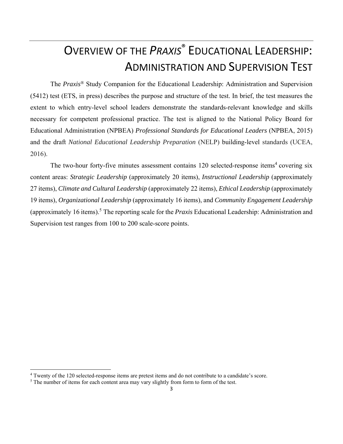# OVERVIEW OF THE *PRAXIS* ® EDUCATIONAL LEADERSHIP: ADMINISTRATION AND SUPERVISION TEST

The *Praxis®* Study Companion for the Educational Leadership: Administration and Supervision (5412) test (ETS, in press) describes the purpose and structure of the test. In brief, the test measures the extent to which entry-level school leaders demonstrate the standards-relevant knowledge and skills necessary for competent professional practice. The test is aligned to the National Policy Board for Educational Administration (NPBEA) *Professional Standards for Educational Leaders* (NPBEA, 2015) and the draft *National Educational Leadership Preparation* (NELP) building-level standards (UCEA, 2016).

The two-hour forty-five minutes assessment contains  $120$  selected-response items<sup>4</sup> covering six content areas: *Strategic Leadership* (approximately 20 items), *Instructional Leadership* (approximately 27 items), *Climate and Cultural Leadership* (approximately 22 items), *Ethical Leadership* (approximately 19 items), *Organizational Leadership* (approximately 16 items), and *Community Engagement Leadership* (approximately 16 items).<sup>5</sup> The reporting scale for the *Praxis* Educational Leadership: Administration and Supervision test ranges from 100 to 200 scale-score points.

<sup>&</sup>lt;sup>4</sup> Twenty of the 120 selected-response items are pretest items and do not contribute to a candidate's score.<br><sup>5</sup> The number of items for each content area may vary slightly from form to form of the test

 $5$  The number of items for each content area may vary slightly from form to form of the test.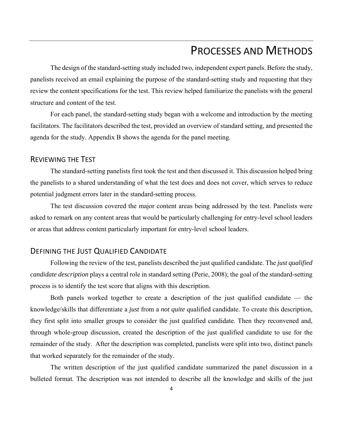## PROCESSES AND METHODS

The design of the standard-setting study included two, independent expert panels. Before the study, panelists received an email explaining the purpose of the standard-setting study and requesting that they review the content specifications for the test. This review helped familiarize the panelists with the general structure and content of the test.

For each panel, the standard-setting study began with a welcome and introduction by the meeting facilitators. The facilitators described the test, provided an overview of standard setting, and presented the agenda for the study. Appendix B shows the agenda for the panel meeting.

### REVIEWING THE TEST

The standard-setting panelists first took the test and then discussed it. This discussion helped bring the panelists to a shared understanding of what the test does and does not cover, which serves to reduce potential judgment errors later in the standard-setting process.

The test discussion covered the major content areas being addressed by the test. Panelists were asked to remark on any content areas that would be particularly challenging for entry-level school leaders or areas that address content particularly important for entry-level school leaders.

### DEFINING THE JUST QUALIFIED CANDIDATE

Following the review of the test, panelists described the just qualified candidate. The *just qualified candidate description* plays a central role in standard setting (Perie, 2008); the goal of the standard-setting process is to identify the test score that aligns with this description.

Both panels worked together to create a description of the just qualified candidate — the knowledge/skills that differentiate a *just* from a *not quite* qualified candidate. To create this description, they first split into smaller groups to consider the just qualified candidate. Then they reconvened and, through whole-group discussion, created the description of the just qualified candidate to use for the remainder of the study. After the description was completed, panelists were split into two, distinct panels that worked separately for the remainder of the study.

The written description of the just qualified candidate summarized the panel discussion in a bulleted format. The description was not intended to describe all the knowledge and skills of the just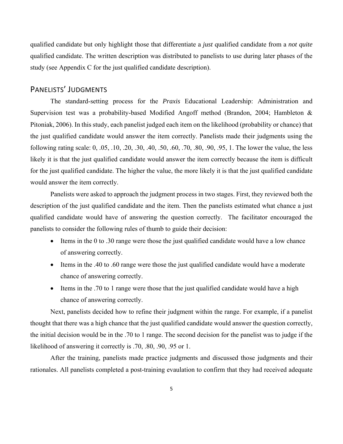qualified candidate but only highlight those that differentiate a *just* qualified candidate from a *not quite* qualified candidate. The written description was distributed to panelists to use during later phases of the study (see Appendix C for the just qualified candidate description).

### PANELISTS' JUDGMENTS

The standard-setting process for the *Praxis* Educational Leadership: Administration and Supervision test was a probability-based Modified Angoff method (Brandon, 2004; Hambleton & Pitoniak, 2006). In this study, each panelist judged each item on the likelihood (probability or chance) that the just qualified candidate would answer the item correctly. Panelists made their judgments using the following rating scale: 0, .05, .10, .20, .30, .40, .50, .60, .70, .80, .90, .95, 1. The lower the value, the less likely it is that the just qualified candidate would answer the item correctly because the item is difficult for the just qualified candidate. The higher the value, the more likely it is that the just qualified candidate would answer the item correctly.

Panelists were asked to approach the judgment process in two stages. First, they reviewed both the description of the just qualified candidate and the item. Then the panelists estimated what chance a just qualified candidate would have of answering the question correctly. The facilitator encouraged the panelists to consider the following rules of thumb to guide their decision:

- Items in the 0 to .30 range were those the just qualified candidate would have a low chance of answering correctly.
- Items in the .40 to .60 range were those the just qualified candidate would have a moderate chance of answering correctly.
- Items in the .70 to 1 range were those that the just qualified candidate would have a high chance of answering correctly.

Next, panelists decided how to refine their judgment within the range. For example, if a panelist thought that there was a high chance that the just qualified candidate would answer the question correctly, the initial decision would be in the .70 to 1 range. The second decision for the panelist was to judge if the likelihood of answering it correctly is .70, .80, .90, .95 or 1.

After the training, panelists made practice judgments and discussed those judgments and their rationales. All panelists completed a post-training evaulation to confirm that they had received adequate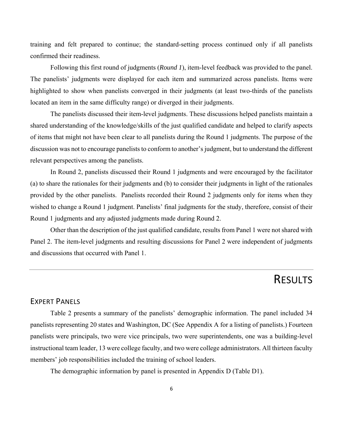training and felt prepared to continue; the standard-setting process continued only if all panelists confirmed their readiness.

Following this first round of judgments (*Round 1*), item-level feedback was provided to the panel. The panelists' judgments were displayed for each item and summarized across panelists. Items were highlighted to show when panelists converged in their judgments (at least two-thirds of the panelists located an item in the same difficulty range) or diverged in their judgments.

The panelists discussed their item-level judgments. These discussions helped panelists maintain a shared understanding of the knowledge/skills of the just qualified candidate and helped to clarify aspects of items that might not have been clear to all panelists during the Round 1 judgments. The purpose of the discussion was not to encourage panelists to conform to another's judgment, but to understand the different relevant perspectives among the panelists.

In Round 2, panelists discussed their Round 1 judgments and were encouraged by the facilitator (a) to share the rationales for their judgments and (b) to consider their judgments in light of the rationales provided by the other panelists. Panelists recorded their Round 2 judgments only for items when they wished to change a Round 1 judgment. Panelists' final judgments for the study, therefore, consist of their Round 1 judgments and any adjusted judgments made during Round 2.

Other than the description of the just qualified candidate, results from Panel 1 were not shared with Panel 2. The item-level judgments and resulting discussions for Panel 2 were independent of judgments and discussions that occurred with Panel 1.

### RESULTS

### EXPERT PANELS

Table 2 presents a summary of the panelists' demographic information. The panel included 34 panelists representing 20 states and Washington, DC (See Appendix A for a listing of panelists.) Fourteen panelists were principals, two were vice principals, two were superintendents, one was a building-level instructional team leader, 13 were college faculty, and two were college administrators. All thirteen faculty members' job responsibilities included the training of school leaders.

The demographic information by panel is presented in Appendix D (Table D1).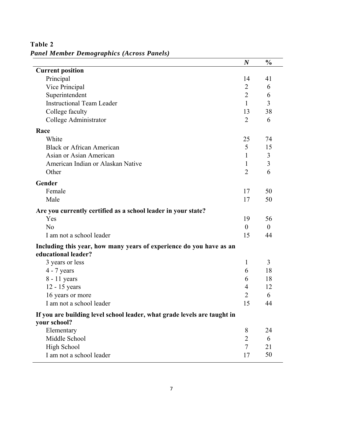|                                                                                          | $\boldsymbol{N}$ | $\frac{0}{0}$  |
|------------------------------------------------------------------------------------------|------------------|----------------|
| <b>Current position</b>                                                                  |                  |                |
| Principal                                                                                | 14               | 41             |
| Vice Principal                                                                           | 2                | 6              |
| Superintendent                                                                           | $\overline{2}$   | 6              |
| <b>Instructional Team Leader</b>                                                         | $\mathbf{1}$     | 3              |
| College faculty                                                                          | 13               | 38             |
| College Administrator                                                                    | $\overline{2}$   | 6              |
| Race                                                                                     |                  |                |
| White                                                                                    | 25               | 74             |
| <b>Black or African American</b>                                                         | 5                | 15             |
| Asian or Asian American                                                                  | 1                | 3              |
| American Indian or Alaskan Native                                                        | 1                | $\overline{3}$ |
| Other                                                                                    | $\overline{2}$   | 6              |
| Gender                                                                                   |                  |                |
| Female                                                                                   | 17               | 50             |
| Male                                                                                     | 17               | 50             |
| Are you currently certified as a school leader in your state?                            |                  |                |
| Yes                                                                                      | 19               | 56             |
| N <sub>o</sub>                                                                           | $\theta$         | $\overline{0}$ |
| I am not a school leader                                                                 | 15               | 44             |
| Including this year, how many years of experience do you have as an                      |                  |                |
| educational leader?                                                                      |                  |                |
| 3 years or less                                                                          | 1                | 3              |
| $4 - 7$ years                                                                            | 6                | 18             |
| 8 - 11 years                                                                             | 6                | 18             |
| 12 - 15 years                                                                            | 4                | 12             |
| 16 years or more                                                                         | $\overline{2}$   | 6              |
| I am not a school leader                                                                 | 15               | 44             |
| If you are building level school leader, what grade levels are taught in<br>your school? |                  |                |
| Elementary                                                                               | 8                | 24             |
| Middle School                                                                            | $\overline{2}$   | 6              |
| High School                                                                              | $\overline{7}$   | 21             |
| I am not a school leader                                                                 | 17               | 50             |

**Table 2**  *Panel Member Demographics (Across Panels)*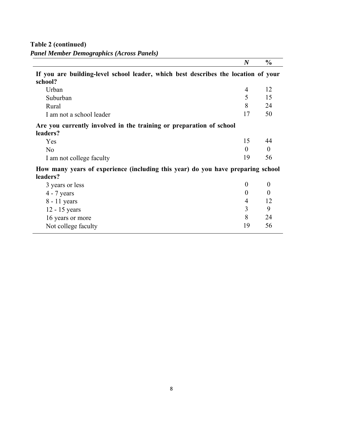**Table 2 (continued)**  *Panel Member Demographics (Across Panels)* 

Not college faculty

|                                                                                               | $\boldsymbol{N}$ | $\frac{0}{0}$    |
|-----------------------------------------------------------------------------------------------|------------------|------------------|
| If you are building-level school leader, which best describes the location of your<br>school? |                  |                  |
| Urban                                                                                         | 4                | 12               |
| Suburban                                                                                      | 5                | 15               |
| Rural                                                                                         | 8                | 24               |
| I am not a school leader                                                                      | 17               | 50               |
| Are you currently involved in the training or preparation of school<br>leaders?               |                  |                  |
| Yes                                                                                           | 15               | 44               |
| No                                                                                            | $\Omega$         | $\theta$         |
| I am not college faculty                                                                      | 19               | 56               |
| How many years of experience (including this year) do you have preparing school<br>leaders?   |                  |                  |
| 3 years or less                                                                               | $\boldsymbol{0}$ | $\boldsymbol{0}$ |
| $4 - 7$ years                                                                                 | 0                | $\theta$         |
| 8 - 11 years                                                                                  | 4                | 12               |
| 12 - 15 years                                                                                 | 3                | 9                |
| 16 years or more                                                                              | 8                | 24               |

16 years or more 8 24<br>Not college faculty 19 56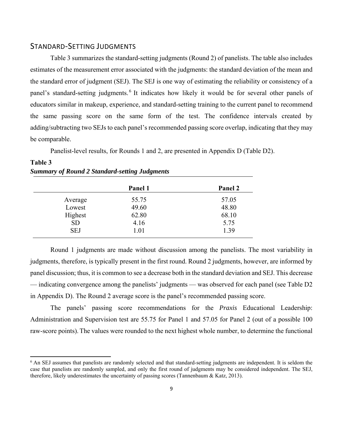### STANDARD‐SETTING JUDGMENTS

Table 3 summarizes the standard-setting judgments (Round 2) of panelists. The table also includes estimates of the measurement error associated with the judgments: the standard deviation of the mean and the standard error of judgment (SEJ). The SEJ is one way of estimating the reliability or consistency of a panel's standard-setting judgments. 6 It indicates how likely it would be for several other panels of educators similar in makeup, experience, and standard-setting training to the current panel to recommend the same passing score on the same form of the test. The confidence intervals created by adding/subtracting two SEJs to each panel's recommended passing score overlap, indicating that they may be comparable.

Panelist-level results, for Rounds 1 and 2, are presented in Appendix D (Table D2).

#### **Table 3**  *Summary of Round 2 Standard-setting Judgments*

|            | Panel 1 | Panel 2 |
|------------|---------|---------|
| Average    | 55.75   | 57.05   |
| Lowest     | 49.60   | 48.80   |
| Highest    | 62.80   | 68.10   |
| <b>SD</b>  | 4.16    | 5.75    |
| <b>SEJ</b> | 1.01    | 1.39    |

Round 1 judgments are made without discussion among the panelists. The most variability in judgments, therefore, is typically present in the first round. Round 2 judgments, however, are informed by panel discussion; thus, it is common to see a decrease both in the standard deviation and SEJ. This decrease — indicating convergence among the panelists' judgments — was observed for each panel (see Table D2 in Appendix D). The Round 2 average score is the panel's recommended passing score.

The panels' passing score recommendations for the *Praxis* Educational Leadership: Administration and Supervision test are 55.75 for Panel 1 and 57.05 for Panel 2 (out of a possible 100 raw-score points).The values were rounded to the next highest whole number, to determine the functional

<sup>&</sup>lt;sup>6</sup> An SEJ assumes that panelists are randomly selected and that standard-setting judgments are independent. It is seldom the case that panelists are randomly sampled, and only the first round of judgments may be considered independent. The SEJ, therefore, likely underestimates the uncertainty of passing scores (Tannenbaum & Katz, 2013).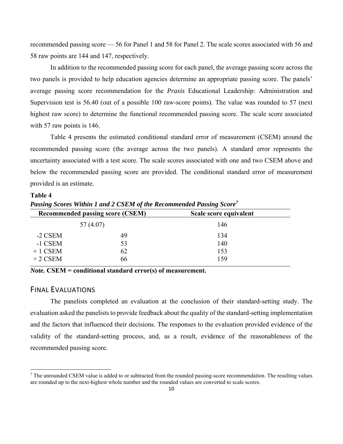recommended passing score — 56 for Panel 1 and 58 for Panel 2. The scale scores associated with 56 and 58 raw points are 144 and 147, respectively.

In addition to the recommended passing score for each panel, the average passing score across the two panels is provided to help education agencies determine an appropriate passing score. The panels' average passing score recommendation for the *Praxis* Educational Leadership: Administration and Supervision test is 56.40 (out of a possible 100 raw-score points). The value was rounded to 57 (next highest raw score) to determine the functional recommended passing score. The scale score associated with 57 raw points is 146.

Table 4 presents the estimated conditional standard error of measurement (CSEM) around the recommended passing score (the average across the two panels). A standard error represents the uncertainty associated with a test score. The scale scores associated with one and two CSEM above and below the recommended passing score are provided. The conditional standard error of measurement provided is an estimate.

**Table 4**  *Passing Scores Within 1 and 2 CSEM of the Recommended Passing Score<sup>7</sup>* 

|               | <b>Recommended passing score (CSEM)</b> | Scale score equivalent |  |  |  |
|---------------|-----------------------------------------|------------------------|--|--|--|
|               | 57 (4.07)                               | 146                    |  |  |  |
| -2 CSEM<br>49 |                                         | 134                    |  |  |  |
| -1 CSEM       | 53                                      | 140                    |  |  |  |
| $+1$ CSEM     | 62                                      | 153                    |  |  |  |
| $+2$ CSEM     | 66                                      | 159                    |  |  |  |

*Note.* **CSEM = conditional standard error(s) of measurement***.* 

### FINAL EVALUATIONS

The panelists completed an evaluation at the conclusion of their standard-setting study. The evaluation asked the panelists to provide feedback about the quality of the standard-setting implementation and the factors that influenced their decisions. The responses to the evaluation provided evidence of the validity of the standard-setting process, and, as a result, evidence of the reasonableness of the recommended passing score.

 $<sup>7</sup>$  The unrounded CSEM value is added to or subtracted from the rounded passing-score recommendation. The resulting values</sup> are rounded up to the next-highest whole number and the rounded values are converted to scale scores.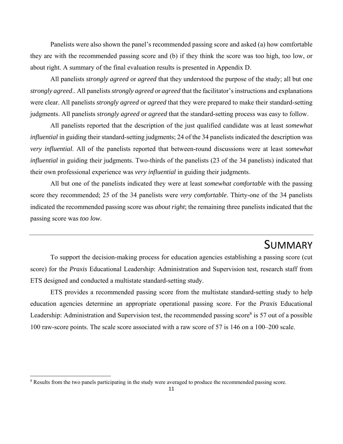Panelists were also shown the panel's recommended passing score and asked (a) how comfortable they are with the recommended passing score and (b) if they think the score was too high, too low, or about right. A summary of the final evaluation results is presented in Appendix D.

All panelists *strongly agreed* or *agreed* that they understood the purpose of the study; all but one *strongly agreed*.. All panelists *strongly agreed* or *agreed* that the facilitator's instructions and explanations were clear. All panelists *strongly agreed* or *agreed* that they were prepared to make their standard-setting judgments. All panelists *strongly agreed* or *agreed* that the standard-setting process was easy to follow.

All panelists reported that the description of the just qualified candidate was at least *somewhat influential* in guiding their standard-setting judgments; 24 of the 34 panelists indicated the description was *very influential*. All of the panelists reported that between-round discussions were at least *somewhat influential* in guiding their judgments. Two-thirds of the panelists (23 of the 34 panelists) indicated that their own professional experience was *very influential* in guiding their judgments.

All but one of the panelists indicated they were at least *somewhat comfortable* with the passing score they recommended; 25 of the 34 panelists were *very comfortable*. Thirty-one of the 34 panelists indicated the recommended passing score was *about right*; the remaining three panelists indicated that the passing score was *too low*.

## SUMMARY

To support the decision-making process for education agencies establishing a passing score (cut score) for the *Praxis* Educational Leadership: Administration and Supervision test, research staff from ETS designed and conducted a multistate standard-setting study.

ETS provides a recommended passing score from the multistate standard-setting study to help education agencies determine an appropriate operational passing score. For the *Praxis* Educational Leadership: Administration and Supervision test, the recommended passing score<sup>8</sup> is 57 out of a possible 100 raw-score points. The scale score associated with a raw score of 57 is 146 on a 100–200 scale.

<sup>&</sup>lt;sup>8</sup> Results from the two panels participating in the study were averaged to produce the recommended passing score.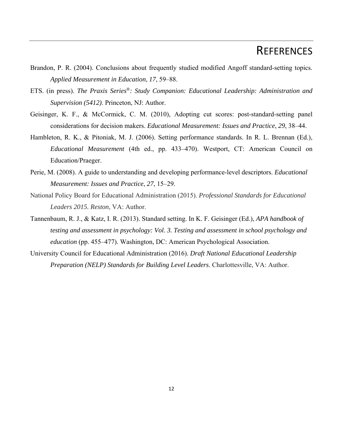## **REFERENCES**

- Brandon, P. R. (2004). Conclusions about frequently studied modified Angoff standard-setting topics. *Applied Measurement in Education*, *17*, 59–88.
- ETS. (in press). *The Praxis Series*®*: Study Companion: Educational Leadership: Administration and Supervision (5412)*. Princeton, NJ: Author.
- Geisinger, K. F., & McCormick, C. M. (2010), Adopting cut scores: post-standard-setting panel considerations for decision makers. *Educational Measurement: Issues and Practice*, *29*, 38–44.
- Hambleton, R. K., & Pitoniak, M. J. (2006). Setting performance standards. In R. L. Brennan (Ed.), *Educational Measurement* (4th ed., pp. 433–470). Westport, CT: American Council on Education/Praeger.
- Perie, M. (2008). A guide to understanding and developing performance-level descriptors. *Educational Measurement: Issues and Practice*, *27*, 15–29.
- National Policy Board for Educational Administration (2015). *Professional Standards for Educational Leaders 2015. Reston*, VA: Author.
- Tannenbaum, R. J., & Katz, I. R. (2013). Standard setting. In K. F. Geisinger (Ed.), *APA handbook of testing and assessment in psychology: Vol. 3. Testing and assessment in school psychology and education* (pp. 455–477). Washington, DC: American Psychological Association.
- University Council for Educational Administration (2016). *Draft National Educational Leadership Preparation (NELP) Standards for Building Level Leaders*. Charlottesville, VA: Author.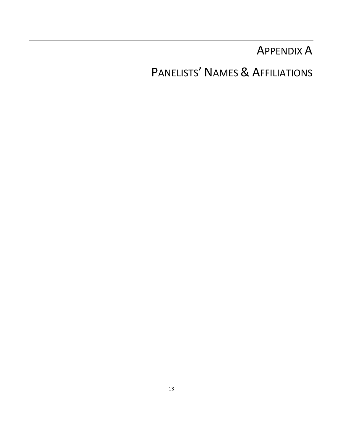## APPENDIX A

# PANELISTS' NAMES & AFFILIATIONS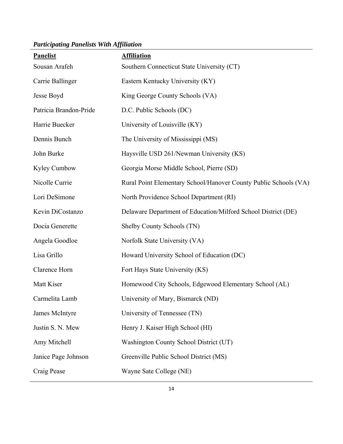**Panelist Affiliation** Sousan Arafeh Southern Connecticut State University (CT) Carrie Ballinger Eastern Kentucky University (KY) Jesse Boyd King George County Schools (VA) Patricia Brandon-Pride D.C. Public Schools (DC) Harrie Buecker University of Louisville (KY) Dennis Bunch The University of Mississippi (MS) John Burke Haysville USD 261/Newman University (KS) Kyley Cumbow Georgia Morse Middle School, Pierre (SD) Nicolle Currie Rural Point Elementary School/Hanover County Public Schools (VA) Lori DeSimone North Providence School Department (RI) Kevin DiCostanzo Delaware Department of Education/Milford School District (DE) Docia Generette Shelby County Schools (TN) Angela Goodloe Norfolk State University (VA) Lisa Grillo Howard University School of Education (DC) Clarence Horn Fort Hays State University (KS) Matt Kiser **Homewood City Schools, Edgewood Elementary School (AL)** Carmelita Lamb University of Mary, Bismarck (ND) James McIntyre University of Tennessee (TN) Justin S. N. Mew Henry J. Kaiser High School (HI) Amy Mitchell Washington County School District (UT) Janice Page Johnson Greenville Public School District (MS) Craig Pease Wayne Sate College (NE)

*Participating Panelists With Affiliation*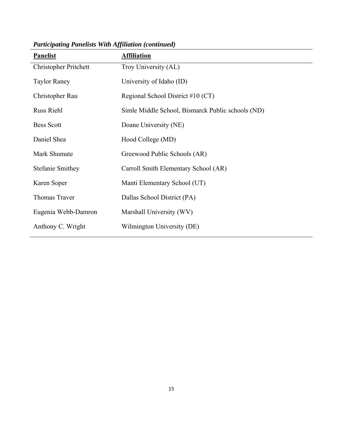| <b>Panelist</b>              | <b>Affiliation</b>                                |
|------------------------------|---------------------------------------------------|
| <b>Christopher Pritchett</b> | Troy University (AL)                              |
| <b>Taylor Raney</b>          | University of Idaho (ID)                          |
| Christopher Rau              | Regional School District #10 $(CT)$               |
| <b>Russ Riehl</b>            | Simle Middle School, Bismarck Public schools (ND) |
| <b>Bess Scott</b>            | Doane University (NE)                             |
| Daniel Shea                  | Hood College (MD)                                 |
| Mark Shumate                 | Greewood Public Schools (AR)                      |
| <b>Stefanie Smithey</b>      | Carroll Smith Elementary School (AR)              |
| Karen Soper                  | Manti Elementary School (UT)                      |
| Thomas Traver                | Dallas School District (PA)                       |
| Eugenia Webb-Damron          | Marshall University (WV)                          |
| Anthony C. Wright            | Wilmington University (DE)                        |
|                              |                                                   |

*Participating Panelists With Affiliation (continued)*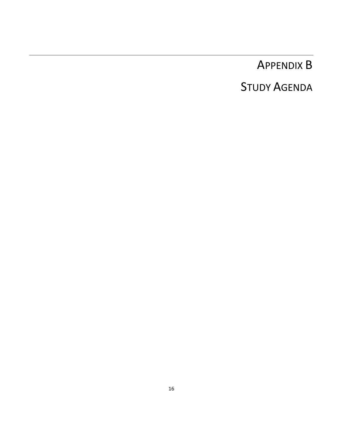# APPENDIX B

## STUDY AGENDA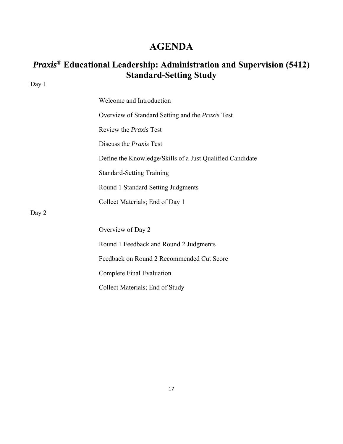## **AGENDA**

### *Praxis*® **Educational Leadership: Administration and Supervision (5412) Standard-Setting Study**  Day 1

|       | Welcome and Introduction                                  |
|-------|-----------------------------------------------------------|
|       | Overview of Standard Setting and the Praxis Test          |
|       | Review the <i>Praxis</i> Test                             |
|       | Discuss the <i>Praxis</i> Test                            |
|       | Define the Knowledge/Skills of a Just Qualified Candidate |
|       | <b>Standard-Setting Training</b>                          |
|       | Round 1 Standard Setting Judgments                        |
|       | Collect Materials; End of Day 1                           |
| Day 2 |                                                           |
|       | Overview of Day 2                                         |
|       | Round 1 Feedback and Round 2 Judgments                    |
|       | Feedback on Round 2 Recommended Cut Score                 |
|       | Complete Final Evaluation                                 |
|       | Collect Materials; End of Study                           |
|       |                                                           |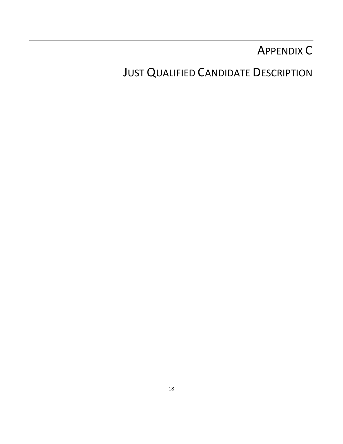## APPENDIX C

**JUST QUALIFIED CANDIDATE DESCRIPTION**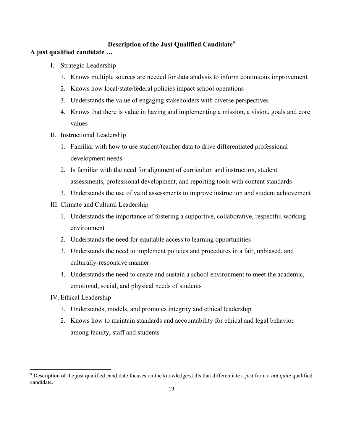#### **Description of the Just Qualified Candidate9**

#### **A just qualified candidate …**

- I. Strategic Leadership
	- 1. Knows multiple sources are needed for data analysis to inform continuous improvement
	- 2. Knows how local/state/federal policies impact school operations
	- 3. Understands the value of engaging stakeholders with diverse perspectives
	- 4. Knows that there is value in having and implementing a mission, a vision, goals and core values
- II. Instructional Leadership
	- 1. Familiar with how to use student/teacher data to drive differentiated professional development needs
	- 2. Is familiar with the need for alignment of curriculum and instruction, student assessments, professional development, and reporting tools with content standards
	- 3. Understands the use of valid assessments to improve instruction and student achievement

#### III. Climate and Cultural Leadership

- 1. Understands the importance of fostering a supportive, collaborative, respectful working environment
- 2. Understands the need for equitable access to learning opportunities
- 3. Understands the need to implement policies and procedures in a fair, unbiased, and culturally-responsive manner
- 4. Understands the need to create and sustain a school environment to meet the academic, emotional, social, and physical needs of students
- IV. Ethical Leadership

- 1. Understands, models, and promotes integrity and ethical leadership
- 2. Knows how to maintain standards and accountability for ethical and legal behavior among faculty, staff and students

<sup>9</sup> Description of the just qualified candidate focuses on the knowledge/skills that differentiate a *just* from a *not quite* qualified candidate.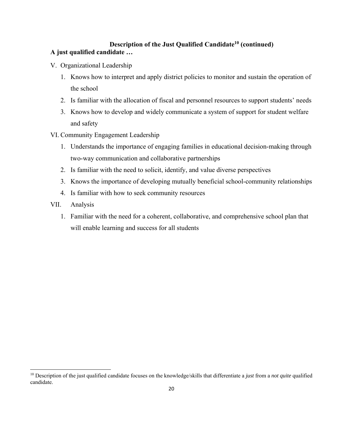### **Description of the Just Qualified Candidate10 (continued) A just qualified candidate …**

- V. Organizational Leadership
	- 1. Knows how to interpret and apply district policies to monitor and sustain the operation of the school
	- 2. Is familiar with the allocation of fiscal and personnel resources to support students' needs
	- 3. Knows how to develop and widely communicate a system of support for student welfare and safety
- VI. Community Engagement Leadership
	- 1. Understands the importance of engaging families in educational decision-making through two-way communication and collaborative partnerships
	- 2. Is familiar with the need to solicit, identify, and value diverse perspectives
	- 3. Knows the importance of developing mutually beneficial school-community relationships
	- 4. Is familiar with how to seek community resources
- VII. Analysis

1. Familiar with the need for a coherent, collaborative, and comprehensive school plan that will enable learning and success for all students

<sup>10</sup> Description of the just qualified candidate focuses on the knowledge/skills that differentiate a *just* from a *not quite* qualified candidate.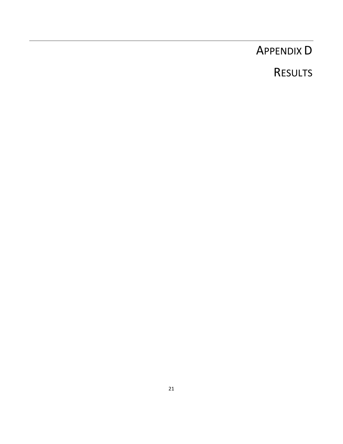## APPENDIX D

## RESULTS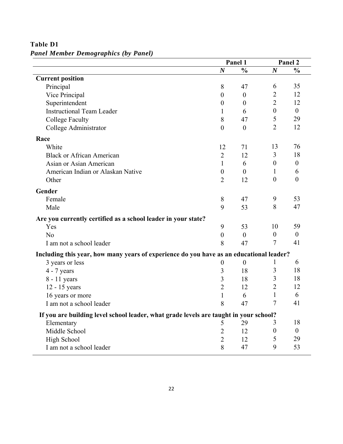|                                                                                         | Panel 1          |                  |                  | Panel 2        |
|-----------------------------------------------------------------------------------------|------------------|------------------|------------------|----------------|
|                                                                                         | $\boldsymbol{N}$ | $\frac{0}{0}$    | $\boldsymbol{N}$ | $\frac{0}{0}$  |
| <b>Current position</b>                                                                 |                  |                  |                  |                |
| Principal                                                                               | 8                | 47               | 6                | 35             |
| Vice Principal                                                                          | $\theta$         | $\boldsymbol{0}$ | $\overline{2}$   | 12             |
| Superintendent                                                                          | $\boldsymbol{0}$ | $\boldsymbol{0}$ | $\overline{2}$   | 12             |
| <b>Instructional Team Leader</b>                                                        | 1                | 6                | $\boldsymbol{0}$ | $\overline{0}$ |
| <b>College Faculty</b>                                                                  | 8                | 47               | 5                | 29             |
| College Administrator                                                                   | $\overline{0}$   | $\theta$         | $\overline{2}$   | 12             |
| Race                                                                                    |                  |                  |                  |                |
| White                                                                                   | 12               | 71               | 13               | 76             |
| <b>Black or African American</b>                                                        | $\overline{2}$   | 12               | 3                | 18             |
| Asian or Asian American                                                                 | 1                | 6                | $\boldsymbol{0}$ | $\overline{0}$ |
| American Indian or Alaskan Native                                                       | $\boldsymbol{0}$ | $\theta$         | 1                | 6              |
| Other                                                                                   | 2                | 12               | $\overline{0}$   | $\overline{0}$ |
| Gender                                                                                  |                  |                  |                  |                |
| Female                                                                                  | 8                | 47               | 9                | 53             |
| Male                                                                                    | 9                | 53               | 8                | 47             |
| Are you currently certified as a school leader in your state?                           |                  |                  |                  |                |
| Yes                                                                                     | 9                | 53               | 10               | 59             |
| N <sub>o</sub>                                                                          | $\boldsymbol{0}$ | $\overline{0}$   | $\boldsymbol{0}$ | $\mathbf{0}$   |
| I am not a school leader                                                                | 8                | 47               | 7                | 41             |
| Including this year, how many years of experience do you have as an educational leader? |                  |                  |                  |                |
| 3 years or less                                                                         | $\boldsymbol{0}$ | $\theta$         |                  | 6              |
| $4 - 7$ years                                                                           | 3                | 18               | 3                | 18             |
| 8 - 11 years                                                                            | 3                | 18               | 3                | 18             |
| 12 - 15 years                                                                           | $\overline{2}$   | 12               | $\overline{2}$   | 12             |
| 16 years or more                                                                        | 1                | 6                | 1                | 6              |
| I am not a school leader                                                                | 8                | 47               | 7                | 41             |
| If you are building level school leader, what grade levels are taught in your school?   |                  |                  |                  |                |
| Elementary                                                                              | 5                | 29               | 3                | 18             |
| Middle School                                                                           | $\sqrt{2}$       | 12               | $\boldsymbol{0}$ | $\mathbf{0}$   |
| High School                                                                             | $\overline{2}$   | 12               | 5                | 29             |
| I am not a school leader                                                                | 8                | 47               | 9                | 53             |

**Table D1**  *Panel Member Demographics (by Panel)*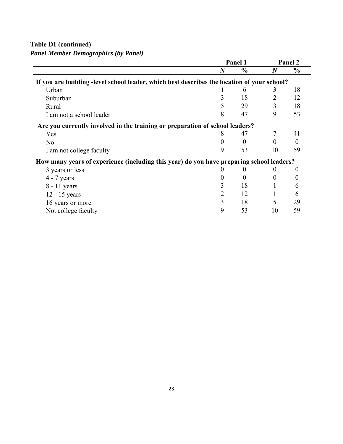**Table D1 (continued)** 

*Panel Member Demographics (by Panel)* 

|                                                                                             |                | Panel 1       |                  | Panel 2       |
|---------------------------------------------------------------------------------------------|----------------|---------------|------------------|---------------|
|                                                                                             | $\bm{N}$       | $\frac{0}{0}$ | $\boldsymbol{N}$ | $\frac{0}{0}$ |
| If you are building -level school leader, which best describes the location of your school? |                |               |                  |               |
| Urban                                                                                       |                | 6             | 3                | 18            |
| Suburban                                                                                    | 3              | 18            | 2                | 12            |
| Rural                                                                                       | 5              | 29            | 3                | 18            |
| I am not a school leader                                                                    | 8              | 47            | 9                | 53            |
| Are you currently involved in the training or preparation of school leaders?                |                |               |                  |               |
| Yes                                                                                         | 8              | 47            |                  | 41            |
| N <sub>0</sub>                                                                              | 0              | $\Omega$      | $\Omega$         | $\Omega$      |
| I am not college faculty                                                                    | 9              | 53            | 10               | 59            |
| How many years of experience (including this year) do you have preparing school leaders?    |                |               |                  |               |
| 3 years or less                                                                             |                | $\theta$      |                  | $_{0}$        |
| $4 - 7$ years                                                                               | 0              | $\Omega$      | $\theta$         | $\theta$      |
| 8 - 11 years                                                                                | 3              | 18            |                  | 6             |
| 12 - 15 years                                                                               | $\overline{2}$ | 12            |                  | 6             |
| 16 years or more                                                                            | 3              | 18            | 5                | 29            |
| Not college faculty                                                                         | 9              | 53            | 10               | 59            |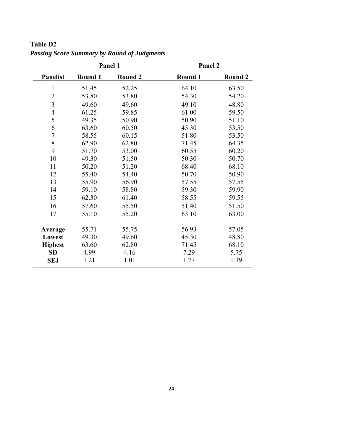|                 | Panel 1 | Panel 2        |         |         |
|-----------------|---------|----------------|---------|---------|
| <b>Panelist</b> | Round 1 | <b>Round 2</b> | Round 1 | Round 2 |
| 1               | 51.45   | 52.25          | 64.10   | 63.50   |
| $\overline{2}$  | 53.80   | 53.80          | 54.30   | 54.20   |
| 3               | 49.60   | 49.60          | 49.10   | 48.80   |
| $\overline{4}$  | 61.25   | 59.85          | 61.00   | 59.50   |
| 5               | 49.35   | 50.90          | 50.90   | 51.10   |
| 6               | 63.60   | 60.50          | 45.30   | 53.50   |
| $\overline{7}$  | 58.55   | 60.15          | 51.80   | 53.50   |
| 8               | 62.90   | 62.80          | 71.45   | 64.35   |
| 9               | 51.70   | 53.00          | 60.55   | 60.20   |
| 10              | 49.30   | 51.50          | 50.30   | 50.70   |
| 11              | 50.20   | 51.20          | 68.40   | 68.10   |
| 12              | 55.40   | 54.40          | 50.70   | 50.90   |
| 13              | 55.90   | 56.90          | 57.55   | 57.55   |
| 14              | 59.10   | 58.80          | 59.30   | 59.90   |
| 15              | 62.30   | 61.40          | 58.55   | 59.55   |
| 16              | 57.60   | 55.50          | 51.40   | 51.50   |
| 17              | 55.10   | 55.20          | 63.10   | 63.00   |
|                 |         |                |         |         |
| Average         | 55.71   | 55.75          | 56.93   | 57.05   |
| Lowest          | 49.30   | 49.60          | 45.30   | 48.80   |
| <b>Highest</b>  | 63.60   | 62.80          | 71.45   | 68.10   |
| <b>SD</b>       | 4.99    | 4.16           | 7.29    | 5.75    |
| <b>SEJ</b>      | 1.21    | 1.01           | 1.77    | 1.39    |

**Table D2**  *Passing Score Summary by Round of Judgments*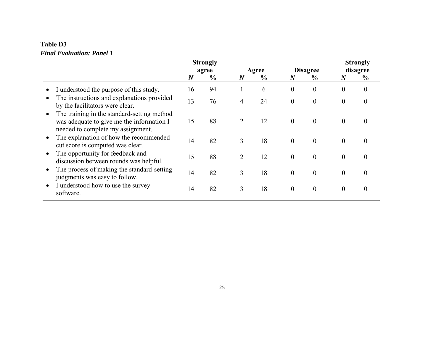### **Table D3**  *Final Evaluation: Panel 1*

|                                                                                                                               |                  | <b>Strongly</b> |                  |               |                  |                  |                  | <b>Strongly</b>  |
|-------------------------------------------------------------------------------------------------------------------------------|------------------|-----------------|------------------|---------------|------------------|------------------|------------------|------------------|
|                                                                                                                               | agree            |                 | Agree            |               | <b>Disagree</b>  |                  | disagree         |                  |
|                                                                                                                               | $\boldsymbol{N}$ | $\frac{6}{9}$   | $\boldsymbol{N}$ | $\frac{6}{9}$ | $\boldsymbol{N}$ | $\frac{6}{9}$    | $\boldsymbol{N}$ | $\frac{6}{6}$    |
| I understood the purpose of this study.                                                                                       | 16               | 94              |                  | 6             | $\theta$         | $\overline{0}$   | $\mathbf{0}$     | $\boldsymbol{0}$ |
| The instructions and explanations provided<br>by the facilitators were clear.                                                 | 13               | 76              | 4                | 24            | $\overline{0}$   | $\boldsymbol{0}$ | $\mathbf{0}$     | $\overline{0}$   |
| The training in the standard-setting method<br>was adequate to give me the information I<br>needed to complete my assignment. | 15               | 88              | 2                | 12            | $\mathbf{0}$     | $\mathbf{0}$     | $\overline{0}$   | 0                |
| The explanation of how the recommended<br>cut score is computed was clear.                                                    | 14               | 82              | 3                | 18            | $\mathbf{0}$     | $\mathbf{0}$     | $\mathbf{0}$     | 0                |
| The opportunity for feedback and<br>discussion between rounds was helpful.                                                    | 15               | 88              | $\overline{2}$   | 12            | $\theta$         | $\overline{0}$   | $\theta$         | 0                |
| The process of making the standard-setting<br>judgments was easy to follow.                                                   | 14               | 82              | 3                | 18            | $\theta$         | $\overline{0}$   | $\mathbf{0}$     | 0                |
| I understood how to use the survey<br>software.                                                                               | 14               | 82              | 3                | 18            | $\boldsymbol{0}$ | $\overline{0}$   | $\boldsymbol{0}$ | 0                |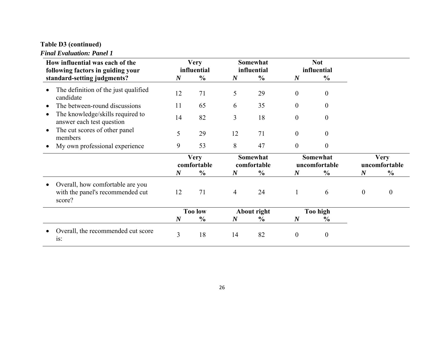### **Table D3 (continued)**

#### *Final Evaluation: Panel 1*

| How influential was each of the<br>following factors in guiding your           |                  | <b>Very</b><br>influential |                  | Somewhat<br>influential |                  | <b>Not</b><br>influential |                  |                              |
|--------------------------------------------------------------------------------|------------------|----------------------------|------------------|-------------------------|------------------|---------------------------|------------------|------------------------------|
| standard-setting judgments?                                                    | $\boldsymbol{N}$ | $\frac{6}{6}$              | $\boldsymbol{N}$ | $\frac{6}{6}$           | $\boldsymbol{N}$ | $\frac{6}{6}$             |                  |                              |
| The definition of the just qualified<br>candidate                              | 12               | 71                         | 5                | 29                      | $\theta$         | $\overline{0}$            |                  |                              |
| The between-round discussions                                                  | 11               | 65                         | 6                | 35                      | $\overline{0}$   | 0                         |                  |                              |
| The knowledge/skills required to<br>$\bullet$<br>answer each test question     | 14               | 82                         | 3                | 18                      | $\overline{0}$   | $\theta$                  |                  |                              |
| The cut scores of other panel<br>members                                       | 5                | 29                         | 12               | 71                      | $\overline{0}$   | $\overline{0}$            |                  |                              |
| My own professional experience                                                 | 9                | 53                         | 8                | 47                      | $\overline{0}$   | $\theta$                  |                  |                              |
|                                                                                |                  | <b>Very</b><br>comfortable |                  | Somewhat<br>comfortable |                  | Somewhat<br>uncomfortable |                  | <b>Very</b><br>uncomfortable |
|                                                                                | $\boldsymbol{N}$ | $\frac{0}{0}$              | $\boldsymbol{N}$ | $\frac{0}{0}$           | $\boldsymbol{N}$ | $\frac{6}{6}$             | $\boldsymbol{N}$ | $\frac{6}{6}$                |
| Overall, how comfortable are you<br>with the panel's recommended cut<br>score? | 12               | 71                         | $\overline{4}$   | 24                      | $\mathbf{1}$     | 6                         | $\mathbf{0}$     | $\theta$                     |
|                                                                                |                  | <b>Too low</b>             |                  | About right             |                  | <b>Too high</b>           |                  |                              |
|                                                                                | $\boldsymbol{N}$ | $\frac{0}{0}$              | $\boldsymbol{N}$ | $\frac{6}{6}$           | $\boldsymbol{N}$ | $\frac{0}{0}$             |                  |                              |
| Overall, the recommended cut score<br>is:                                      | 3                | 18                         | 14               | 82                      | $\mathbf{0}$     | $\boldsymbol{0}$          |                  |                              |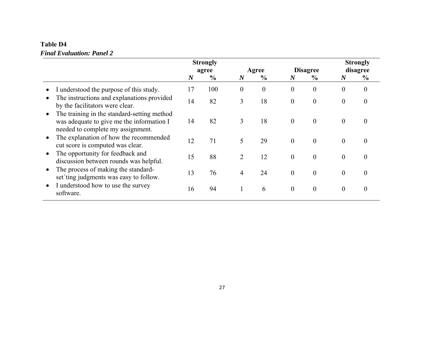### **Table D4**  *Final Evaluation: Panel 2*

|                                                                                                                               |                  | <b>Strongly</b> |                  |                |                  |                  |                  | <b>Strongly</b>  |
|-------------------------------------------------------------------------------------------------------------------------------|------------------|-----------------|------------------|----------------|------------------|------------------|------------------|------------------|
|                                                                                                                               | agree            |                 | Agree            |                | <b>Disagree</b>  |                  | disagree         |                  |
|                                                                                                                               | $\boldsymbol{N}$ | $\frac{6}{9}$   | $\boldsymbol{N}$ | $\frac{6}{9}$  | $\boldsymbol{N}$ | $\frac{6}{9}$    | $\boldsymbol{N}$ | $\frac{6}{6}$    |
| I understood the purpose of this study.                                                                                       | 17               | 100             | $\boldsymbol{0}$ | $\overline{0}$ | $\overline{0}$   | $\overline{0}$   | $\mathbf{0}$     | $\boldsymbol{0}$ |
| The instructions and explanations provided<br>by the facilitators were clear.                                                 | 14               | 82              | 3                | 18             | $\overline{0}$   | $\boldsymbol{0}$ | $\mathbf{0}$     | $\overline{0}$   |
| The training in the standard-setting method<br>was adequate to give me the information I<br>needed to complete my assignment. | 14               | 82              | 3                | 18             | $\overline{0}$   | $\overline{0}$   | $\mathbf{0}$     | 0                |
| The explanation of how the recommended<br>cut score is computed was clear.                                                    | 12               | 71              | 5                | 29             | $\overline{0}$   | $\mathbf{0}$     | $\mathbf{0}$     | 0                |
| The opportunity for feedback and<br>discussion between rounds was helpful.                                                    | 15               | 88              | $\overline{2}$   | 12             | $\theta$         | $\theta$         | $\theta$         | 0                |
| The process of making the standard-<br>set ting judgments was easy to follow.                                                 | 13               | 76              | 4                | 24             | $\theta$         | $\overline{0}$   | $\mathbf{0}$     |                  |
| I understood how to use the survey<br>software.                                                                               | 16               | 94              | 1                | 6              | $\boldsymbol{0}$ | $\overline{0}$   | $\boldsymbol{0}$ | 0                |